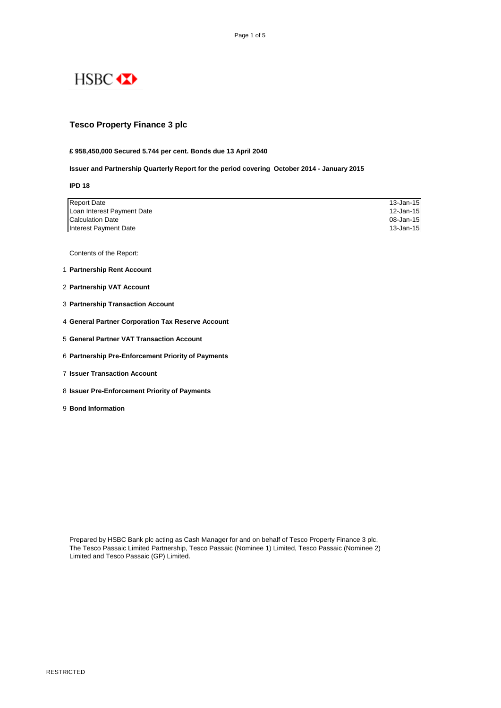

### **Tesco Property Finance 3 plc**

#### **£ 958,450,000 Secured 5.744 per cent. Bonds due 13 April 2040**

#### **Issuer and Partnership Quarterly Report for the period covering October 2014 - January 2015**

**IPD 18**

| <b>Report Date</b>         | 13-Jan-15 |
|----------------------------|-----------|
| Loan Interest Payment Date | 12-Jan-15 |
| <b>Calculation Date</b>    | 08-Jan-15 |
| Interest Payment Date      | 13-Jan-15 |

Contents of the Report:

- 1 **Partnership Rent Account**
- 2 **Partnership VAT Account**
- 3 **Partnership Transaction Account**
- 4 **General Partner Corporation Tax Reserve Account**
- 5 **General Partner VAT Transaction Account**
- 6 **Partnership Pre-Enforcement Priority of Payments**
- 7 **Issuer Transaction Account**
- 8 **Issuer Pre-Enforcement Priority of Payments**
- 9 **Bond Information**

Prepared by HSBC Bank plc acting as Cash Manager for and on behalf of Tesco Property Finance 3 plc, The Tesco Passaic Limited Partnership, Tesco Passaic (Nominee 1) Limited, Tesco Passaic (Nominee 2) Limited and Tesco Passaic (GP) Limited.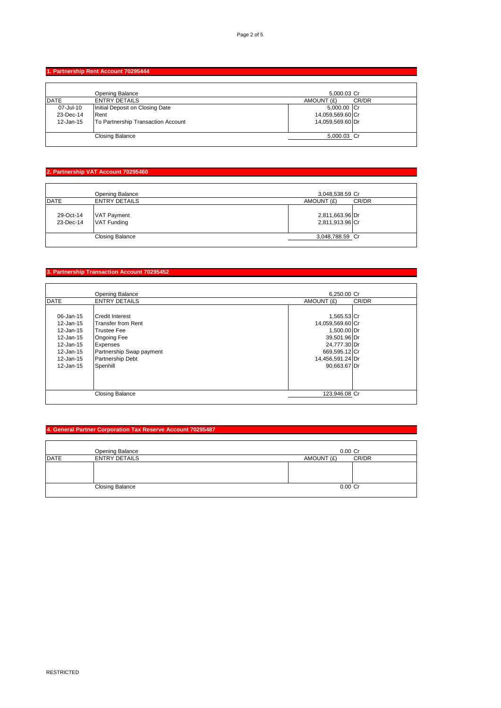## **1. Partnership Rent Account 70295444**

|             | Opening Balance                    | 5,000.03 Cr      |       |
|-------------|------------------------------------|------------------|-------|
| <b>DATE</b> | <b>ENTRY DETAILS</b>               | AMOUNT (£)       | CR/DR |
| 07-Jul-10   | Initial Deposit on Closing Date    | 5,000.00 Cr      |       |
| 23-Dec-14   | Rent                               | 14,059,569.60 Cr |       |
| 12-Jan-15   | To Partnership Transaction Account | 14,059,569.60 Dr |       |
|             |                                    |                  |       |
|             | <b>Closing Balance</b>             | 5,000.03 Cr      |       |
|             |                                    |                  |       |

# **2. Partnership VAT Account 70295460**

|                        | Opening Balance                          | 3,048,538.59 Cr                    |       |
|------------------------|------------------------------------------|------------------------------------|-------|
| <b>DATE</b>            | <b>ENTRY DETAILS</b>                     | AMOUNT (£)                         | CR/DR |
| 29-Oct-14<br>23-Dec-14 | <b>VAT Payment</b><br><b>VAT Funding</b> | 2,811,663.96 Dr<br>2,811,913.96 Cr |       |
|                        | <b>Closing Balance</b>                   | 3,048,788.59 Cr                    |       |
|                        |                                          |                                    |       |

# **3. Partnership Transaction Account 70295452**

|             | <b>Opening Balance</b>   | 6.250.00 Cr      |       |
|-------------|--------------------------|------------------|-------|
| <b>DATE</b> | <b>ENTRY DETAILS</b>     | AMOUNT (£)       | CR/DR |
|             |                          |                  |       |
| 06-Jan-15   | <b>Credit Interest</b>   | 1,565.53 Cr      |       |
| 12-Jan-15   | Transfer from Rent       | 14,059,569.60 Cr |       |
| 12-Jan-15   | <b>Trustee Fee</b>       | 1,500.00 Dr      |       |
| 12-Jan-15   | <b>Ongoing Fee</b>       | 39,501.96 Dr     |       |
| 12-Jan-15   | <b>Expenses</b>          | 24,777.30 Dr     |       |
| 12-Jan-15   | Partnership Swap payment | 669,595.12 Cr    |       |
| 12-Jan-15   | <b>Partnership Debt</b>  | 14,456,591.24 Dr |       |
| 12-Jan-15   | Spenhill                 | 90,663.67 Dr     |       |
|             |                          |                  |       |
|             |                          |                  |       |
|             |                          |                  |       |
|             | <b>Closing Balance</b>   | 123,946.08 Cr    |       |
|             |                          |                  |       |

## **4. General Partner Corporation Tax Reserve Account 70295487**

|             | Opening Balance        |            | $0.00$ Cr |       |
|-------------|------------------------|------------|-----------|-------|
| <b>DATE</b> | <b>ENTRY DETAILS</b>   | AMOUNT (£) |           | CR/DR |
|             |                        |            |           |       |
|             |                        |            |           |       |
|             |                        |            |           |       |
|             | <b>Closing Balance</b> |            | $0.00$ Cr |       |
|             |                        |            |           |       |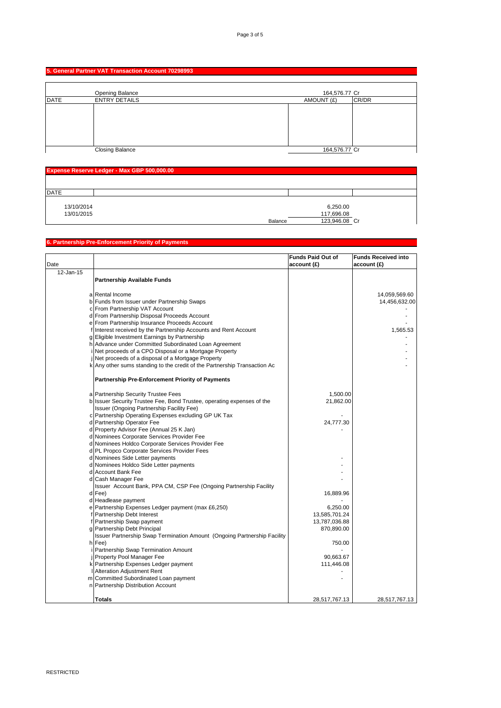### **5. General Partner VAT Transaction Account 70298993**

|             | <b>Opening Balance</b> | 164,576.77 Cr |       |
|-------------|------------------------|---------------|-------|
| <b>DATE</b> | <b>ENTRY DETAILS</b>   | AMOUNT (£)    | CR/DR |
|             |                        |               |       |
|             | <b>Closing Balance</b> | 164,576.77 Cr |       |

| Expense Reserve Ledger - Max GBP 500,000.00 |                                                    |  |
|---------------------------------------------|----------------------------------------------------|--|
|                                             |                                                    |  |
| <b>IDATE</b>                                |                                                    |  |
| 13/10/2014<br>13/01/2015                    | 6,250.00<br>117,696.08<br>123,946.08 Cr<br>Balance |  |

### **6. Partnership Pre-Enforcement Priority of Payments**

|               |                                                                           | Funds Paid Out of | <b>Funds Received into</b> |
|---------------|---------------------------------------------------------------------------|-------------------|----------------------------|
| Date          |                                                                           | account(E)        | account(E)                 |
| $12 - Jan-15$ |                                                                           |                   |                            |
|               | <b>Partnership Available Funds</b>                                        |                   |                            |
|               |                                                                           |                   |                            |
|               | a Rental Income                                                           |                   | 14,059,569.60              |
|               | b Funds from Issuer under Partnership Swaps                               |                   | 14,456,632.00              |
|               | c From Partnership VAT Account                                            |                   |                            |
|               | d From Partnership Disposal Proceeds Account                              |                   |                            |
|               | e From Partnership Insurance Proceeds Account                             |                   |                            |
|               | f Interest received by the Partnership Accounts and Rent Account          |                   | 1,565.53                   |
|               | g Eligible Investment Earnings by Partnership                             |                   |                            |
|               | h Advance under Committed Subordinated Loan Agreement                     |                   |                            |
|               | i Net proceeds of a CPO Disposal or a Mortgage Property                   |                   |                            |
|               | i Net proceeds of a disposal of a Mortgage Property                       |                   |                            |
|               | k Any other sums standing to the credit of the Partnership Transaction Ac |                   |                            |
|               |                                                                           |                   |                            |
|               | <b>Partnership Pre-Enforcement Priority of Payments</b>                   |                   |                            |
|               |                                                                           |                   |                            |
|               | a Partnership Security Trustee Fees                                       | 1,500.00          |                            |
|               | b Issuer Security Trustee Fee, Bond Trustee, operating expenses of the    | 21,862.00         |                            |
|               | Issuer (Ongoing Partnership Facility Fee)                                 |                   |                            |
|               | c Partnership Operating Expenses excluding GP UK Tax                      |                   |                            |
|               | d Partnership Operator Fee                                                | 24,777.30         |                            |
|               | d Property Advisor Fee (Annual 25 K Jan)                                  |                   |                            |
|               | d Nominees Corporate Services Provider Fee                                |                   |                            |
|               | d Nominees Holdco Corporate Services Provider Fee                         |                   |                            |
|               | d PL Propco Corporate Services Provider Fees                              |                   |                            |
|               | d Nominees Side Letter payments                                           |                   |                            |
|               | d Nominees Holdco Side Letter payments                                    |                   |                            |
|               | d Account Bank Fee                                                        |                   |                            |
|               | d Cash Manager Fee                                                        |                   |                            |
|               | Issuer Account Bank, PPA CM, CSP Fee (Ongoing Partnership Facility        |                   |                            |
|               | d Fee)                                                                    | 16,889.96         |                            |
|               | d Headlease payment                                                       |                   |                            |
|               | e Partnership Expenses Ledger payment (max £6,250)                        | 6,250.00          |                            |
|               | f Partnership Debt Interest                                               | 13,585,701.24     |                            |
|               | f Partnership Swap payment                                                | 13,787,036.88     |                            |
|               | g Partnership Debt Principal                                              | 870,890.00        |                            |
|               | Issuer Partnership Swap Termination Amount (Ongoing Partnership Facility  |                   |                            |
|               | h Fee)                                                                    | 750.00            |                            |
|               | i Partnership Swap Termination Amount                                     |                   |                            |
|               | j Property Pool Manager Fee                                               | 90,663.67         |                            |
|               | k Partnership Expenses Ledger payment                                     | 111,446.08        |                            |
|               | I Alteration Adjustment Rent                                              |                   |                            |
|               | m Committed Subordinated Loan payment                                     |                   |                            |
|               | n Partnership Distribution Account                                        |                   |                            |
|               |                                                                           |                   |                            |
|               | Totals                                                                    | 28,517,767.13     | 28,517,767.13              |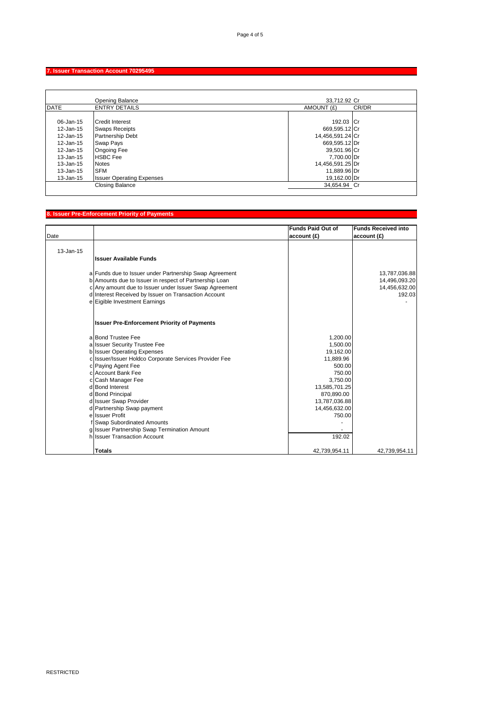#### **7. Issuer Transaction Account 70295495**

|                                                                                         | <b>Opening Balance</b>                                                                                                                           | 33.712.92 Cr                                                                                                       |       |
|-----------------------------------------------------------------------------------------|--------------------------------------------------------------------------------------------------------------------------------------------------|--------------------------------------------------------------------------------------------------------------------|-------|
| <b>DATE</b>                                                                             | <b>ENTRY DETAILS</b>                                                                                                                             | AMOUNT (£)                                                                                                         | CR/DR |
| 06-Jan-15<br>12-Jan-15<br>12-Jan-15<br>12-Jan-15<br>12-Jan-15<br>13-Jan-15<br>13-Jan-15 | <b>Credit Interest</b><br><b>Swaps Receipts</b><br><b>Partnership Debt</b><br>Swap Pays<br><b>Ongoing Fee</b><br><b>HSBC</b> Fee<br><b>Notes</b> | 192.03 Cr<br>669,595.12 Cr<br>14,456,591.24 Cr<br>669.595.12 Dr<br>39,501.96 Cr<br>7.700.00 Dr<br>14,456,591.25 Dr |       |
| 13-Jan-15                                                                               | <b>SFM</b>                                                                                                                                       | 11.889.96 Dr                                                                                                       |       |
| 13-Jan-15                                                                               | <b>Issuer Operating Expenses</b>                                                                                                                 | 19.162.00 Dr                                                                                                       |       |
|                                                                                         | <b>Closing Balance</b>                                                                                                                           | 34,654.94 Cr                                                                                                       |       |

#### **8. Issuer Pre-Enforcement Priority of Payments** Date **Funds Paid Out of account (£) Funds Received into account (£)** 13-Jan-15 **Issuer Available Funds** a Funds due to Issuer under Partnership Swap Agreement 13,787,036.88<br>b Amounts due to Issuer in respect of Partnership Loan 14,496,093.20 b Amounts due to Issuer in respect of Partnership Loan 14,496,093.20<br>
c Any amount due to Issuer under Issuer Swap Agreement 14,456,632.00 c Any amount due to Issuer under Issuer Swap Agreement 14,456,632.00<br>d Interest Received by Issuer on Transaction Account 192.03 d Interest Received by Issuer on Transaction Account<br>e Eigible Investment Earnings Eigible Investment Earnings **Issuer Pre-Enforcement Priority of Payments** a Bond Trustee Fee 1,200.00<br>a Issuer Security Trustee Fee 1,500.00 a Issuer Security Trustee Fee 1,500.00<br>
b Issuer Operating Expenses 19,162.00 b Issuer Operating Expenses<br>
c Issuer/Issuer Holdco Corporate Services Provider Fee<br>
11,889.96 c Issuer/Issuer Holdco Corporate Services Provider Fee 11,889.96<br>c Paying Agent Fee 500.00 c Paying Agent Fee  $\vert$  500.00 c Account Bank Fee 750.00 c Cash Manager Fee 3,750.00<br>d Bond Interest 3,750.000 d Bond Interest d Bond Interest 13,585,701.25<br>d Bond Principal 13,585,701.25<br>870,890.00<br>870,890.00 d Bond Principal 870,890.00<br>d Issuer Swap Provider and State Swap Structure of the Swap Structure of the Swap Structure of the Swap Structure of the Structure of the Structure of the Structure of the Structure of the Struc d Issuer Swap Provider and the US and the US and the US and the US and the US and the US and the US and the US and the US and the US and the US and the US and the US and the US and the US and the US and the US and the US a d Partnership Swap payment 14,456,632.00<br>
e Issuer Profit 750.00 e Issuer Profit f Swap Subordinated Amounts<br>g Issuer Partnership Swap Termination Amount and the state of the state of the state of the state of the state Issuer Partnership Swap Termination Amount 1920 and 1920 and 1920 and 1920 and 1920 and 1920 and 1920 and 1920 and 1920 and 1920 and 1920 and 1920 and 1920 and 1930 and 1930 and 1930 and 1930 and 1930 and 1930 and 1930 and h Issuer Transaction Account **Totals** 42,739,954.11 42,739,954.11 42,739,954.11 42,739,954.11 42,739,954.11 42,739,954.11 42,739,954.11 42,739,954.11